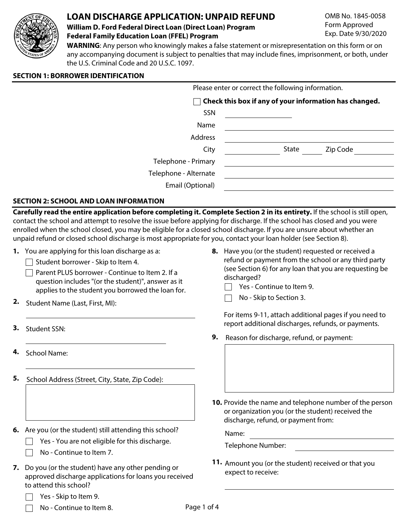

# **LOAN DISCHARGE APPLICATION: UNPAID REFUND**

#### **William D. Ford Federal Direct Loan (Direct Loan) Program Federal Family Education Loan (FFEL) Program**

OMB No. 1845-0058 Form Approved Exp. Date 9/30/2020

**WARNING**: Any person who knowingly makes a false statement or misrepresentation on this form or on any accompanying document is subject to penalties that may include fines, imprisonment, or both, under the U.S. Criminal Code and 20 U.S.C. 1097.

#### **SECTION 1: BORROWER IDENTIFICATION**

Please enter or correct the following information.

|                       | $\Box$ Check this box if any of your information has changed. |
|-----------------------|---------------------------------------------------------------|
| SSN                   |                                                               |
| Name                  |                                                               |
| Address               |                                                               |
| City                  | Zip Code<br>State                                             |
| Telephone - Primary   |                                                               |
| Telephone - Alternate |                                                               |
| Email (Optional)      |                                                               |

# **SECTION 2: SCHOOL AND LOAN INFORMATION**

**Carefully read the entire application before completing it. Complete Section 2 in its entirety.** If the school is still open, contact the school and attempt to resolve the issue before applying for discharge. If the school has closed and you were enrolled when the school closed, you may be eligible for a closed school discharge. If you are unsure about whether an unpaid refund or closed school discharge is most appropriate for you, contact your loan holder (see Section 8).

- **1.** You are applying for this loan discharge as a:
	- $\Box$  Student borrower Skip to Item 4.
	- $\Box$  Parent PLUS borrower Continue to Item 2. If a question includes "(or the student)", answer as it applies to the student you borrowed the loan for.
- **2.** Student Name (Last, First, MI):
- **3.** Student SSN:
- **4.** School Name:
- **5.** School Address (Street, City, State, Zip Code):
- **6.** Are you (or the student) still attending this school?
	- $\Box$  Yes You are not eligible for this discharge.
		- No Continue to Item 7.
- **7.** Do you (or the student) have any other pending or approved discharge applications for loans you received to attend this school?
	- Yes Skip to Item 9.
	- No Continue to Item 8.
- **8.** Have you (or the student) requested or received a refund or payment from the school or any third party (see Section 6) for any loan that you are requesting be discharged?
	- $\Box$  Yes Continue to Item 9.
	- No Skip to Section 3.  $\Box$

For items 9-11, attach additional pages if you need to report additional discharges, refunds, or payments.

**9.** Reason for discharge, refund, or payment:

**10.** Provide the name and telephone number of the person or organization you (or the student) received the discharge, refund, or payment from:

Name:

Telephone Number:

**11.** Amount you (or the student) received or that you expect to receive: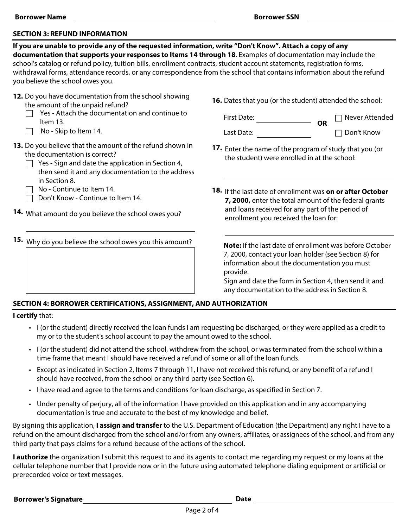#### **SECTION 3: REFUND INFORMATION**

**If you are unable to provide any of the requested information, write "Don't Know". Attach a copy of any documentation that supports your responses to Items 14 through 18**. Examples of documentation may include the school's catalog or refund policy, tuition bills, enrollment contracts, student account statements, registration forms, withdrawal forms, attendance records, or any correspondence from the school that contains information about the refund you believe the school owes you.

| 12. Do you have documentation from the school showing |
|-------------------------------------------------------|
| the amount of the unpaid refund?                      |

- Yes Attach the documentation and continue to Item 13.
- $\Box$  No Skip to Item 14.

**13.** Do you believe that the amount of the refund shown in the documentation is correct?

 $\Box$  Yes - Sign and date the application in Section 4, then send it and any documentation to the address in Section 8.

No - Continue to Item 14.

Don't Know - Continue to Item 14.

- **14.** What amount do you believe the school owes you?
- **15.** Why do you believe the school owes you this amount?

**16.** Dates that you (or the student) attended the school:

**OR**

First Date:

Last Date:

Never Attended Don't Know

- **17.** Enter the name of the program of study that you (or the student) were enrolled in at the school:
- **18.** If the last date of enrollment was **on or after October 7, 2000,** enter the total amount of the federal grants and loans received for any part of the period of enrollment you received the loan for:

**Note:** If the last date of enrollment was before October 7, 2000, contact your loan holder (see Section 8) for information about the documentation you must provide.

Sign and date the form in Section 4, then send it and any documentation to the address in Section 8.

#### **SECTION 4: BORROWER CERTIFICATIONS, ASSIGNMENT, AND AUTHORIZATION**

#### **I certify** that:

- I (or the student) directly received the loan funds I am requesting be discharged, or they were applied as a credit to my or to the student's school account to pay the amount owed to the school.
- I (or the student) did not attend the school, withdrew from the school, or was terminated from the school within a time frame that meant I should have received a refund of some or all of the loan funds.
- Except as indicated in Section 2, Items 7 through 11, I have not received this refund, or any benefit of a refund I should have received, from the school or any third party (see Section 6).
- I have read and agree to the terms and conditions for loan discharge, as specified in Section 7.
- Under penalty of perjury, all of the information I have provided on this application and in any accompanying documentation is true and accurate to the best of my knowledge and belief.

By signing this application, **I assign and transfer** to the U.S. Department of Education (the Department) any right I have to a refund on the amount discharged from the school and/or from any owners, affiliates, or assignees of the school, and from any third party that pays claims for a refund because of the actions of the school.

**I authorize** the organization I submit this request to and its agents to contact me regarding my request or my loans at the cellular telephone number that I provide now or in the future using automated telephone dialing equipment or artificial or prerecorded voice or text messages.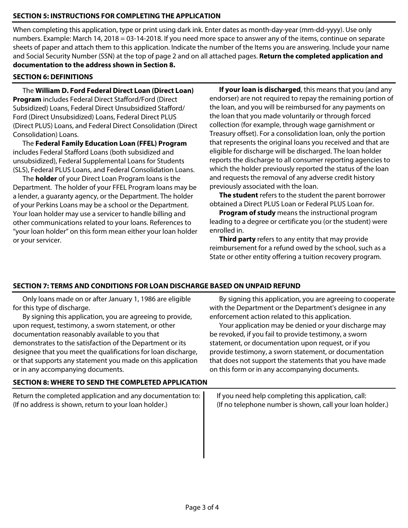## **SECTION 5: INSTRUCTIONS FOR COMPLETING THE APPLICATION**

When completing this application, type or print using dark ink. Enter dates as month-day-year (mm-dd-yyyy). Use only numbers. Example: March 14, 2018 = 03-14-2018. If you need more space to answer any of the items, continue on separate sheets of paper and attach them to this application. Indicate the number of the Items you are answering. Include your name and Social Security Number (SSN) at the top of page 2 and on all attached pages. **Return the completed application and documentation to the address shown in Section 8.**

#### **SECTION 6: DEFINITIONS**

The **William D. Ford Federal Direct Loan (Direct Loan) Program** includes Federal Direct Stafford/Ford (Direct Subsidized) Loans, Federal Direct Unsubsidized Stafford/ Ford (Direct Unsubsidized) Loans, Federal Direct PLUS (Direct PLUS) Loans, and Federal Direct Consolidation (Direct Consolidation) Loans.

The **Federal Family Education Loan (FFEL) Program** includes Federal Stafford Loans (both subsidized and unsubsidized), Federal Supplemental Loans for Students (SLS), Federal PLUS Loans, and Federal Consolidation Loans.

The **holder** of your Direct Loan Program loans is the Department. The holder of your FFEL Program loans may be a lender, a guaranty agency, or the Department. The holder of your Perkins Loans may be a school or the Department. Your loan holder may use a servicer to handle billing and other communications related to your loans. References to "your loan holder" on this form mean either your loan holder or your servicer.

**If your loan is discharged**, this means that you (and any endorser) are not required to repay the remaining portion of the loan, and you will be reimbursed for any payments on the loan that you made voluntarily or through forced collection (for example, through wage garnishment or Treasury offset). For a consolidation loan, only the portion that represents the original loans you received and that are eligible for discharge will be discharged. The loan holder reports the discharge to all consumer reporting agencies to which the holder previously reported the status of the loan and requests the removal of any adverse credit history previously associated with the loan.

**The student** refers to the student the parent borrower obtained a Direct PLUS Loan or Federal PLUS Loan for.

**Program of study** means the instructional program leading to a degree or certificate you (or the student) were enrolled in.

**Third party** refers to any entity that may provide reimbursement for a refund owed by the school, such as a State or other entity offering a tuition recovery program.

### **SECTION 7: TERMS AND CONDITIONS FOR LOAN DISCHARGE BASED ON UNPAID REFUND**

Only loans made on or after January 1, 1986 are eligible for this type of discharge.

By signing this application, you are agreeing to provide, upon request, testimony, a sworn statement, or other documentation reasonably available to you that demonstrates to the satisfaction of the Department or its designee that you meet the qualifications for loan discharge, or that supports any statement you made on this application or in any accompanying documents.

# By signing this application, you are agreeing to cooperate with the Department or the Department's designee in any enforcement action related to this application.

Your application may be denied or your discharge may be revoked, if you fail to provide testimony, a sworn statement, or documentation upon request, or if you provide testimony, a sworn statement, or documentation that does not support the statements that you have made on this form or in any accompanying documents.

### **SECTION 8: WHERE TO SEND THE COMPLETED APPLICATION**

Return the completed application and any documentation to: (If no address is shown, return to your loan holder.)

If you need help completing this application, call: (If no telephone number is shown, call your loan holder.)